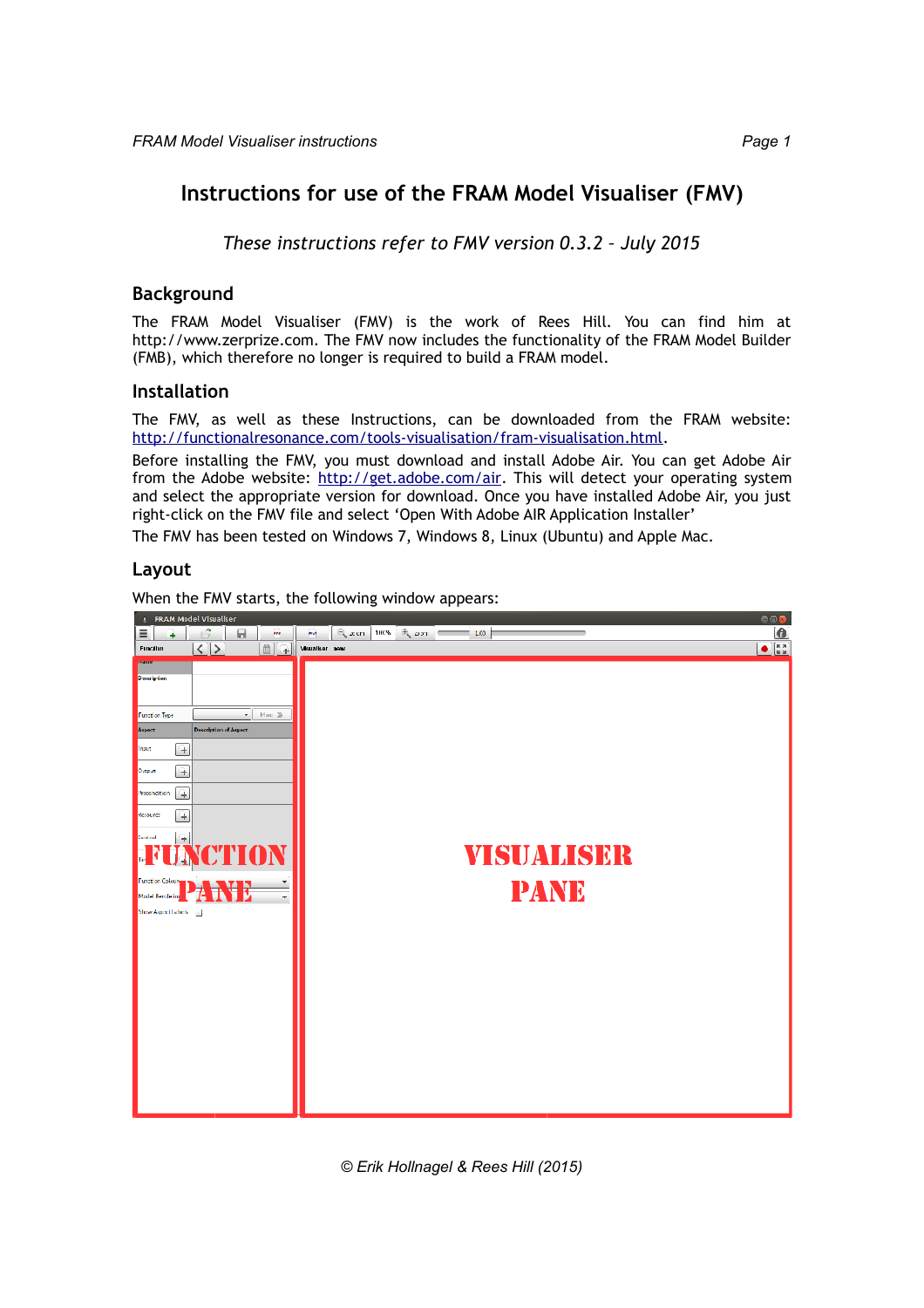# **Instructions for use of the FRAM Model Visualiser (FMV)**

*These instructions refer to FMV version 0.3.2 – July 2015*

### **Background**

The FRAM Model Visualiser (FMV) is the work of Rees Hill. You can find him at http://www.zerprize.com. The FMV now includes the functionality of the FRAM Model Builder (FMB), which therefore no longer is required to build a FRAM model.

### **Installation**

The FMV, as well as these Instructions, can be downloaded from the FRAM website: [http://functionalresonance.com/tools-visualisation/fram-visualisation.html.](http://functionalresonance.com/tools-visualisation/fram-visualisation.html)

Before installing the FMV, you must download and install Adobe Air. You can get Adobe Air from the Adobe website: [http://get.adobe.com/air.](http://get.adobe.com/air) This will detect your operating system and select the appropriate version for download. Once you have installed Adobe Air, you just right-click on the FMV file and select 'Open With Adobe AIR Application Installer'

The FMV has been tested on Windows 7, Windows 8, Linux (Ubuntu) and Apple Mac.

### **Layout**

When the FMV starts, the following window appears:

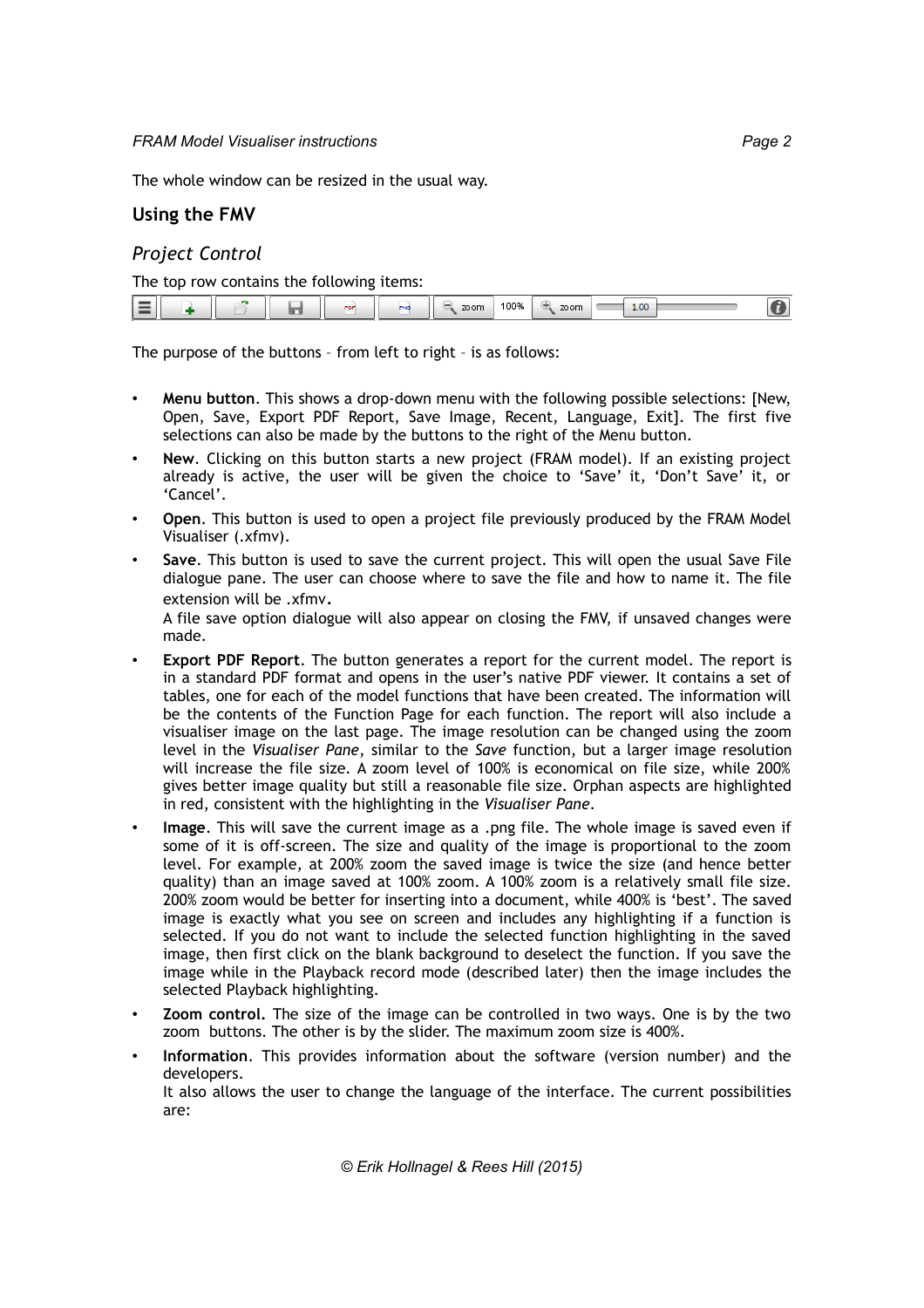# **Using the FMV**

### *Project Control*

The top row contains the following items:

|  | . .<br>$\blacksquare$<br>$\blacksquare$ |  |  |  | PDF | -- | 70 om | 100% | zo om | 1.00 |  |
|--|-----------------------------------------|--|--|--|-----|----|-------|------|-------|------|--|
|--|-----------------------------------------|--|--|--|-----|----|-------|------|-------|------|--|

The purpose of the buttons – from left to right – is as follows:

- **Menu button**. This shows a drop-down menu with the following possible selections: [New, Open, Save, Export PDF Report, Save Image, Recent, Language, Exit]. The first five selections can also be made by the buttons to the right of the Menu button.
- **New**. Clicking on this button starts a new project (FRAM model). If an existing project already is active, the user will be given the choice to 'Save' it, 'Don't Save' it, or 'Cancel'.
- **Open**. This button is used to open a project file previously produced by the FRAM Model Visualiser (.xfmv).
- **Save**. This button is used to save the current project. This will open the usual Save File dialogue pane. The user can choose where to save the file and how to name it. The file extension will be .xfmv.

A file save option dialogue will also appear on closing the FMV, if unsaved changes were made.

- **Export PDF Report**. The button generates a report for the current model. The report is in a standard PDF format and opens in the user's native PDF viewer. It contains a set of tables, one for each of the model functions that have been created. The information will be the contents of the Function Page for each function. The report will also include a visualiser image on the last page. The image resolution can be changed using the zoom level in the *Visualiser Pane*, similar to the *Save* function, but a larger image resolution will increase the file size. A zoom level of 100% is economical on file size, while 200% gives better image quality but still a reasonable file size. Orphan aspects are highlighted in red, consistent with the highlighting in the *Visualiser Pane*.
- **Image**. This will save the current image as a .png file. The whole image is saved even if some of it is off-screen. The size and quality of the image is proportional to the zoom level. For example, at 200% zoom the saved image is twice the size (and hence better quality) than an image saved at 100% zoom. A 100% zoom is a relatively small file size. 200% zoom would be better for inserting into a document, while 400% is 'best'. The saved image is exactly what you see on screen and includes any highlighting if a function is selected. If you do not want to include the selected function highlighting in the saved image, then first click on the blank background to deselect the function. If you save the image while in the Playback record mode (described later) then the image includes the selected Playback highlighting.
- **Zoom control.** The size of the image can be controlled in two ways. One is by the two zoom buttons. The other is by the slider. The maximum zoom size is 400%.
- **Information**. This provides information about the software (version number) and the developers.

It also allows the user to change the language of the interface. The current possibilities are: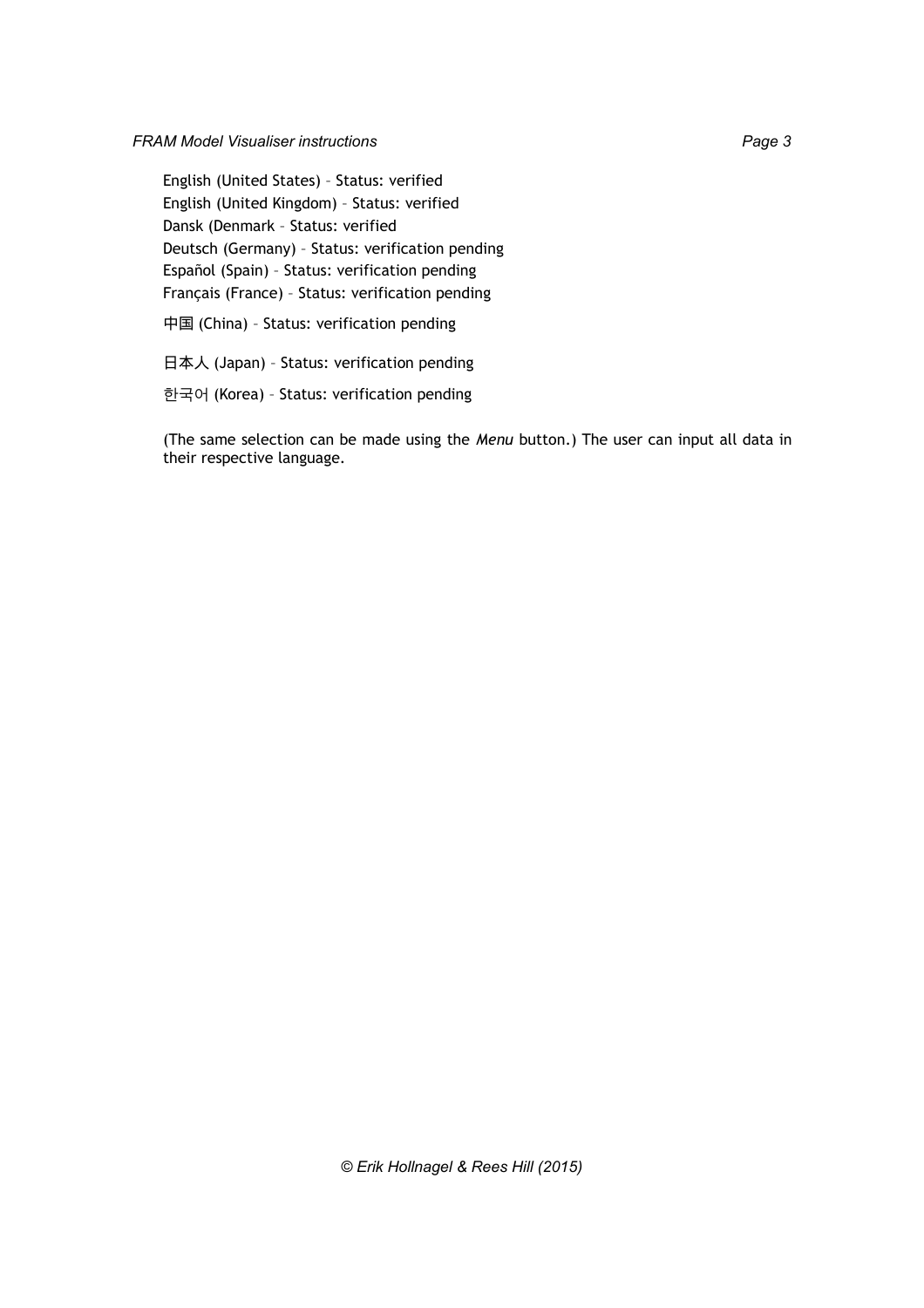English (United States) – Status: verified English (United Kingdom) – Status: verified Dansk (Denmark – Status: verified Deutsch (Germany) – Status: verification pending Español (Spain) – Status: verification pending Français (France) – Status: verification pending

中国 (China) – Status: verification pending

日本人 (Japan) – Status: verification pending

한국어 (Korea) – Status: verification pending

(The same selection can be made using the *Menu* button.) The user can input all data in their respective language.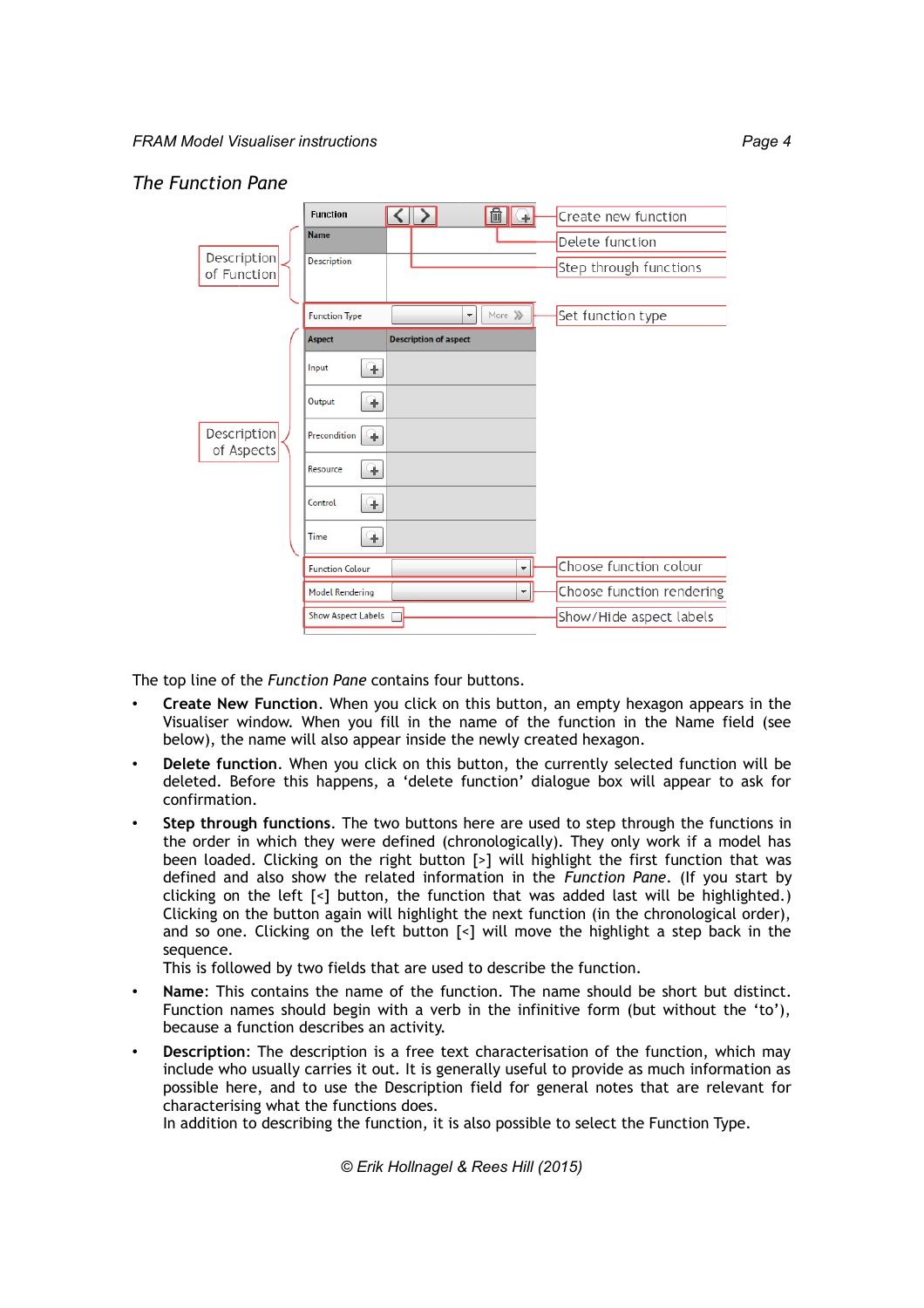## *The Function Pane*

|                            | <b>Function</b>           | 血<br>$\leq$<br>手             | Create new function       |
|----------------------------|---------------------------|------------------------------|---------------------------|
|                            | <b>Name</b>               |                              | Delete function           |
| Description<br>of Function | Description               |                              | Step through functions    |
|                            | <b>Function Type</b>      | More >>><br>▼                | Set function type         |
|                            | Aspect                    | <b>Description of aspect</b> |                           |
|                            | Input<br>÷                |                              |                           |
|                            | Output<br>÷               |                              |                           |
| Description<br>of Aspects  | Precondition<br>÷         |                              |                           |
|                            | Resource<br>÷             |                              |                           |
|                            | Control<br>÷              |                              |                           |
|                            | Time<br>÷                 |                              |                           |
|                            | <b>Function Colour</b>    | $\overline{\phantom{0}}$     | Choose function colour    |
|                            | <b>Model Rendering</b>    | ¥                            | Choose function rendering |
|                            | <b>Show Aspect Labels</b> |                              | Show/Hide aspect labels   |

The top line of the *Function Pane* contains four buttons.

- **Create New Function**. When you click on this button, an empty hexagon appears in the Visualiser window. When you fill in the name of the function in the Name field (see below), the name will also appear inside the newly created hexagon.
- **Delete function**. When you click on this button, the currently selected function will be deleted. Before this happens, a 'delete function' dialogue box will appear to ask for confirmation.
- **Step through functions**. The two buttons here are used to step through the functions in the order in which they were defined (chronologically). They only work if a model has been loaded. Clicking on the right button [>] will highlight the first function that was defined and also show the related information in the *Function Pane*. (If you start by clicking on the left  $\lceil$ <] button, the function that was added last will be highlighted.) Clicking on the button again will highlight the next function (in the chronological order), and so one. Clicking on the left button [<] will move the highlight a step back in the sequence.

This is followed by two fields that are used to describe the function.

- **Name**: This contains the name of the function. The name should be short but distinct. Function names should begin with a verb in the infinitive form (but without the 'to'), because a function describes an activity.
- **Description**: The description is a free text characterisation of the function, which may include who usually carries it out. It is generally useful to provide as much information as possible here, and to use the Description field for general notes that are relevant for characterising what the functions does.

In addition to describing the function, it is also possible to select the Function Type.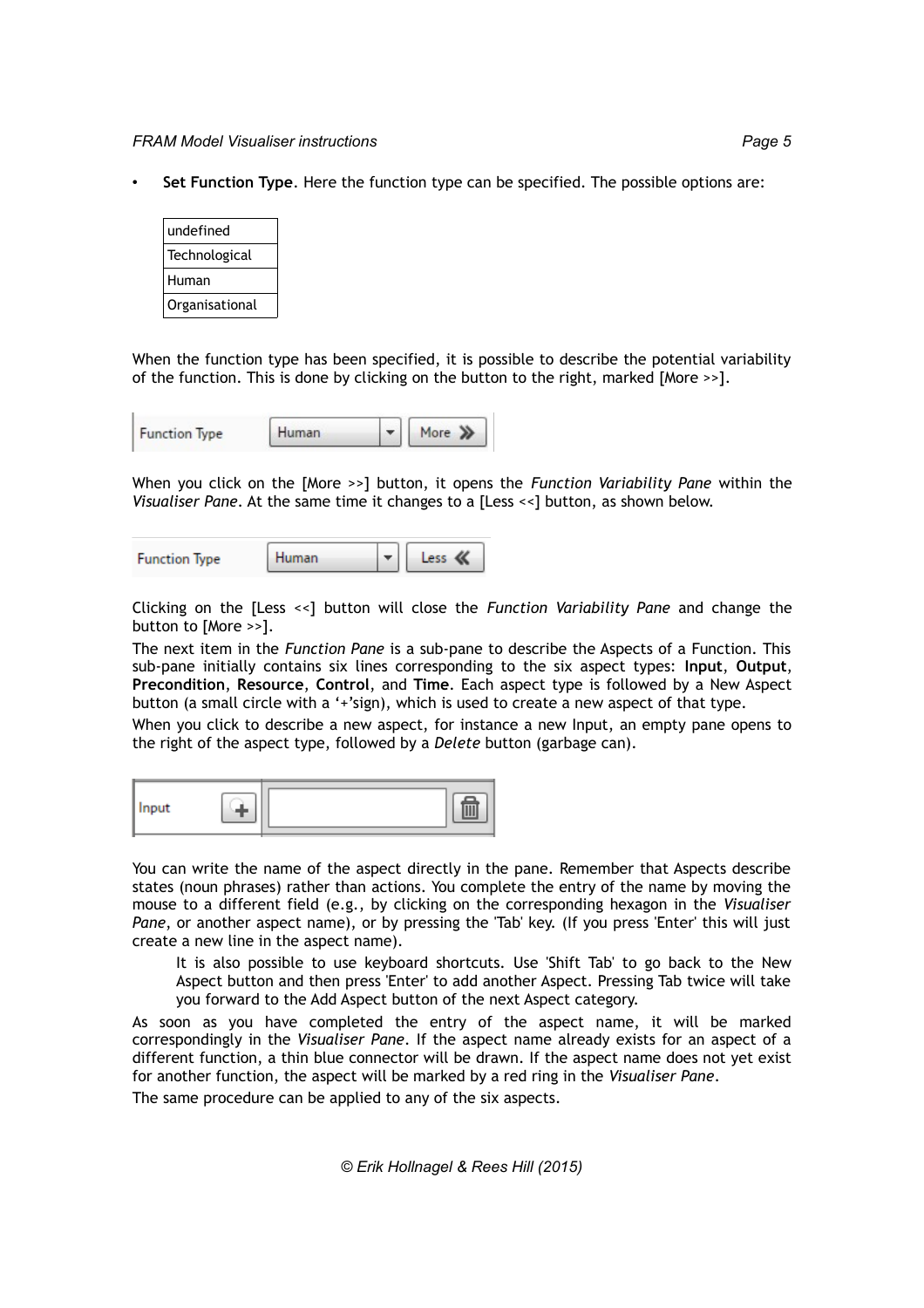• **Set Function Type**. Here the function type can be specified. The possible options are:

| undefined      |  |
|----------------|--|
| Technological  |  |
| Human          |  |
| Organisational |  |

When the function type has been specified, it is possible to describe the potential variability of the function. This is done by clicking on the button to the right, marked [More >>].

| <b>Function Type</b> | Human |  |
|----------------------|-------|--|
|                      |       |  |

When you click on the [More >>] button, it opens the *Function Variability Pane* within the *Visualiser Pane*. At the same time it changes to a [Less <<] button, as shown below.

| Human | less |
|-------|------|
|       |      |

Clicking on the [Less <<] button will close the *Function Variability Pane* and change the button to [More >>].

The next item in the *Function Pane* is a sub-pane to describe the Aspects of a Function. This sub-pane initially contains six lines corresponding to the six aspect types: **Input**, **Output**, **Precondition**, **Resource**, **Control**, and **Time**. Each aspect type is followed by a New Aspect button (a small circle with a '+'sign), which is used to create a new aspect of that type.

When you click to describe a new aspect, for instance a new Input, an empty pane opens to the right of the aspect type, followed by a *Delete* button (garbage can).

| 11 I T<br>--- |  |  |
|---------------|--|--|
|---------------|--|--|

You can write the name of the aspect directly in the pane. Remember that Aspects describe states (noun phrases) rather than actions. You complete the entry of the name by moving the mouse to a different field (e.g., by clicking on the corresponding hexagon in the *Visualiser Pane*, or another aspect name), or by pressing the 'Tab' key. (If you press 'Enter' this will just create a new line in the aspect name).

It is also possible to use keyboard shortcuts. Use 'Shift Tab' to go back to the New Aspect button and then press 'Enter' to add another Aspect. Pressing Tab twice will take you forward to the Add Aspect button of the next Aspect category.

As soon as you have completed the entry of the aspect name, it will be marked correspondingly in the *Visualiser Pane*. If the aspect name already exists for an aspect of a different function, a thin blue connector will be drawn. If the aspect name does not yet exist for another function, the aspect will be marked by a red ring in the *Visualiser Pane*.

The same procedure can be applied to any of the six aspects.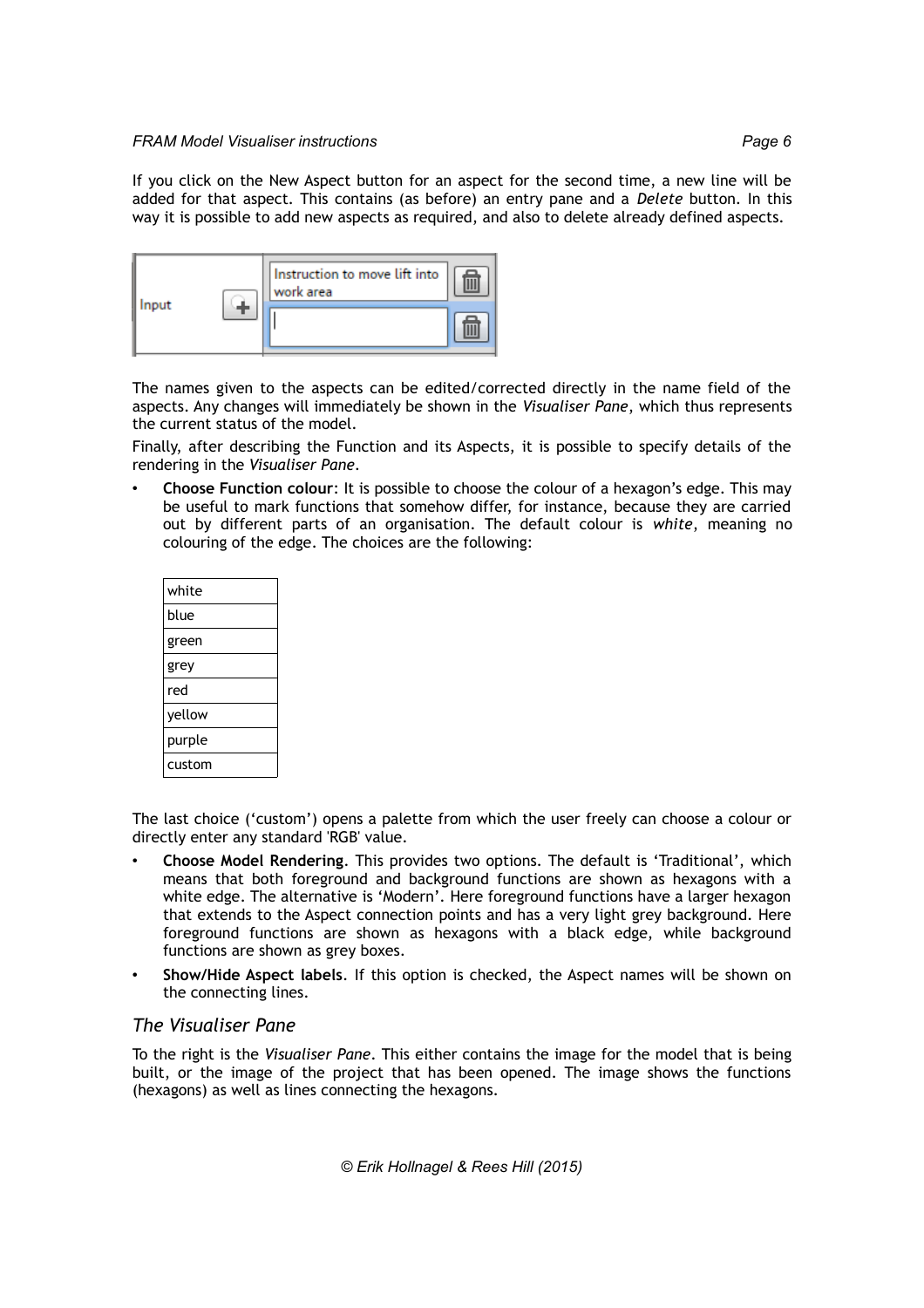

The names given to the aspects can be edited/corrected directly in the name field of the aspects. Any changes will immediately be shown in the *Visualiser Pane*, which thus represents the current status of the model.

Finally, after describing the Function and its Aspects, it is possible to specify details of the rendering in the *Visualiser Pane*.

• **Choose Function colour**: It is possible to choose the colour of a hexagon's edge. This may be useful to mark functions that somehow differ, for instance, because they are carried out by different parts of an organisation. The default colour is *white*, meaning no colouring of the edge. The choices are the following:

| white  |  |  |  |  |  |
|--------|--|--|--|--|--|
| blue   |  |  |  |  |  |
| green  |  |  |  |  |  |
| grey   |  |  |  |  |  |
| red    |  |  |  |  |  |
| yellow |  |  |  |  |  |
| purple |  |  |  |  |  |
| custom |  |  |  |  |  |

The last choice ('custom') opens a palette from which the user freely can choose a colour or directly enter any standard 'RGB' value.

- **Choose Model Rendering**. This provides two options. The default is 'Traditional', which means that both foreground and background functions are shown as hexagons with a white edge. The alternative is 'Modern'. Here foreground functions have a larger hexagon that extends to the Aspect connection points and has a very light grey background. Here foreground functions are shown as hexagons with a black edge, while background functions are shown as grey boxes.
- **Show/Hide Aspect labels**. If this option is checked, the Aspect names will be shown on the connecting lines.

### *The Visualiser Pane*

To the right is the *Visualiser Pane*. This either contains the image for the model that is being built, or the image of the project that has been opened. The image shows the functions (hexagons) as well as lines connecting the hexagons.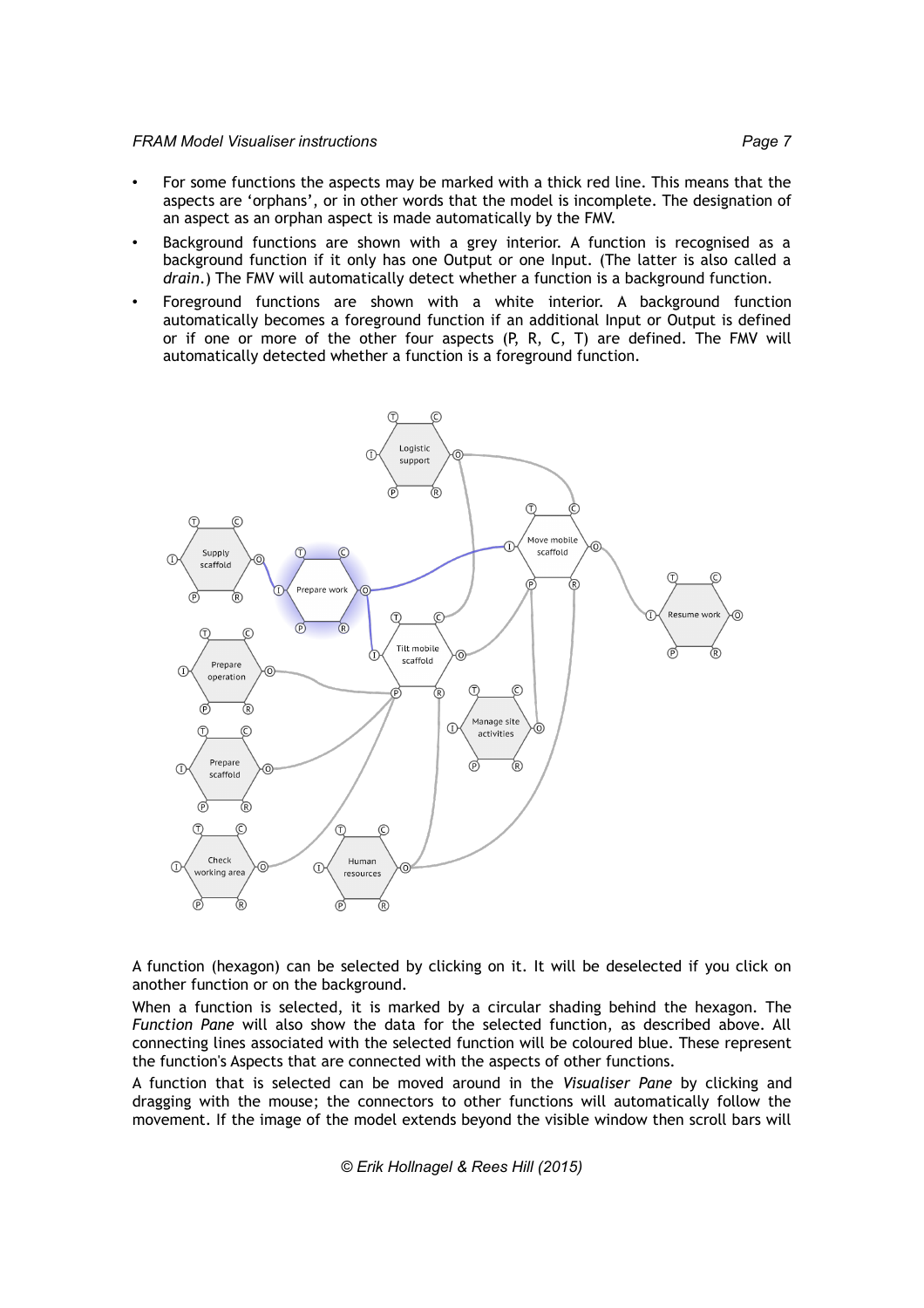- For some functions the aspects may be marked with a thick red line. This means that the aspects are 'orphans', or in other words that the model is incomplete. The designation of an aspect as an orphan aspect is made automatically by the FMV.
- Background functions are shown with a grey interior. A function is recognised as a background function if it only has one Output or one Input. (The latter is also called a *drain*.) The FMV will automatically detect whether a function is a background function.
- Foreground functions are shown with a white interior. A background function automatically becomes a foreground function if an additional Input or Output is defined or if one or more of the other four aspects (P, R, C, T) are defined. The FMV will automatically detected whether a function is a foreground function.



A function (hexagon) can be selected by clicking on it. It will be deselected if you click on another function or on the background.

When a function is selected, it is marked by a circular shading behind the hexagon. The *Function Pane* will also show the data for the selected function, as described above. All connecting lines associated with the selected function will be coloured blue. These represent the function's Aspects that are connected with the aspects of other functions.

A function that is selected can be moved around in the *Visualiser Pane* by clicking and dragging with the mouse; the connectors to other functions will automatically follow the movement. If the image of the model extends beyond the visible window then scroll bars will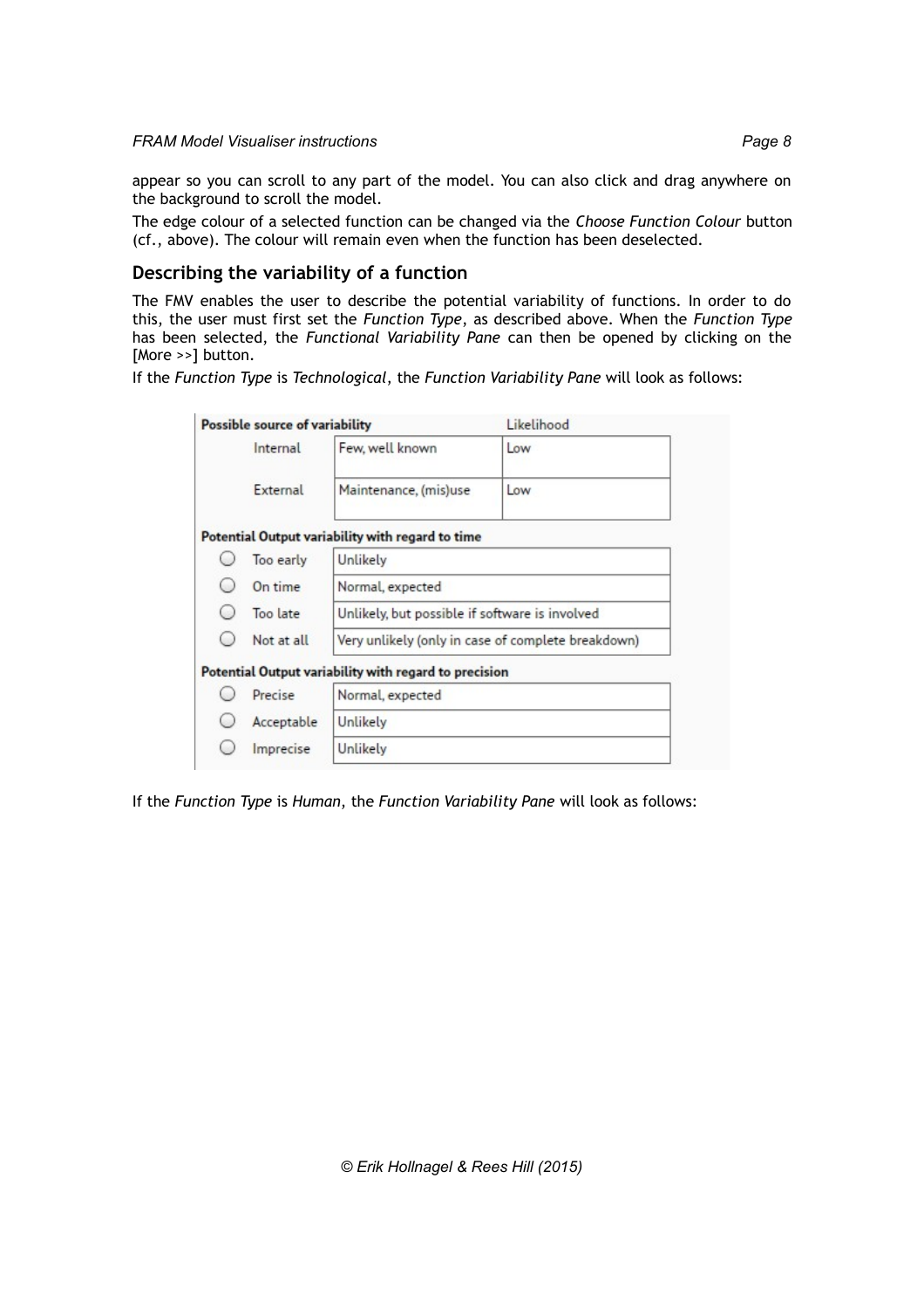appear so you can scroll to any part of the model. You can also click and drag anywhere on the background to scroll the model.

The edge colour of a selected function can be changed via the *Choose Function Colour* button (cf., above). The colour will remain even when the function has been deselected.

## **Describing the variability of a function**

The FMV enables the user to describe the potential variability of functions. In order to do this, the user must first set the *Function Type*, as described above. When the *Function Type* has been selected, the *Functional Variability Pane* can then be opened by clicking on the [More >>] button.

If the *Function Type* is *Technological*, the *Function Variability Pane* will look as follows:

|                        | Possible source of variability |                                                       | Likelihood                                         |  |  |
|------------------------|--------------------------------|-------------------------------------------------------|----------------------------------------------------|--|--|
|                        | Internal                       | Few, well known                                       | Low                                                |  |  |
|                        | External                       | Maintenance, (mis)use                                 | Low                                                |  |  |
|                        |                                | Potential Output variability with regard to time      |                                                    |  |  |
|                        | Too early                      | Unlikely                                              |                                                    |  |  |
|                        | On time                        | Normal, expected                                      |                                                    |  |  |
| Too late               |                                | Unlikely, but possible if software is involved        |                                                    |  |  |
|                        | Not at all                     |                                                       | Very unlikely (only in case of complete breakdown) |  |  |
|                        |                                | Potential Output variability with regard to precision |                                                    |  |  |
|                        | Precise                        | Normal, expected                                      |                                                    |  |  |
| Acceptable<br>Unlikely |                                |                                                       |                                                    |  |  |
|                        | Imprecise                      | Unlikely                                              |                                                    |  |  |

If the *Function Type* is *Human*, the *Function Variability Pane* will look as follows: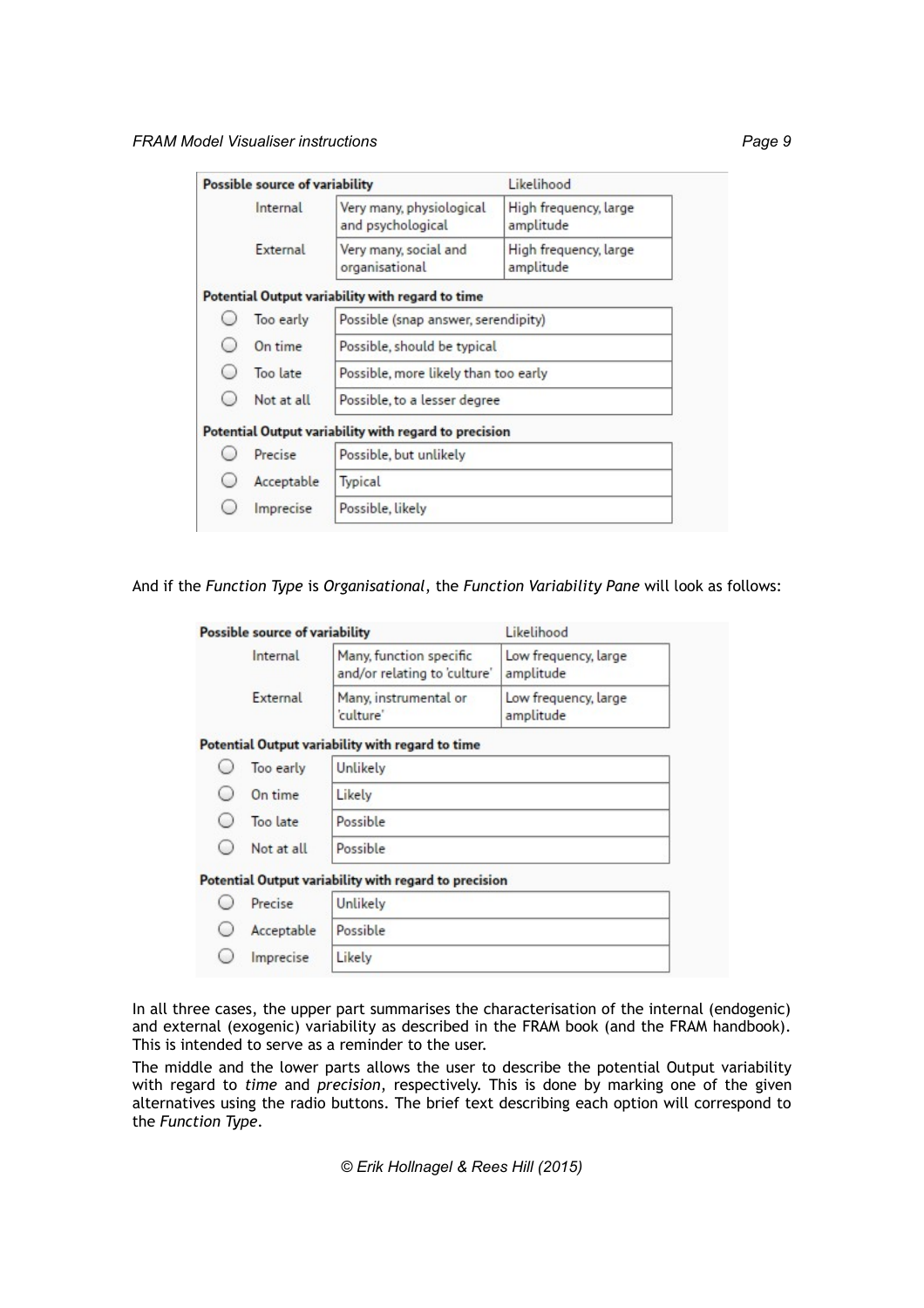|                       | Possible source of variability |                                                                     | Likelihood                         |  |
|-----------------------|--------------------------------|---------------------------------------------------------------------|------------------------------------|--|
| Internal              |                                | Very many, physiological<br>and psychological                       | High frequency, large<br>amplitude |  |
|                       | External                       | Very many, social and<br>organisational                             | High frequency, large<br>amplitude |  |
|                       |                                | Potential Output variability with regard to time                    |                                    |  |
|                       | Too early                      | Possible (snap answer, serendipity)                                 |                                    |  |
| On time<br>Too late   |                                | Possible, should be typical<br>Possible, more likely than too early |                                    |  |
|                       |                                |                                                                     |                                    |  |
|                       |                                | Potential Output variability with regard to precision               |                                    |  |
|                       | Precise                        | Possible, but unlikely                                              |                                    |  |
| Acceptable<br>Typical |                                |                                                                     |                                    |  |
|                       | Imprecise                      | Possible, likely                                                    |                                    |  |

### And if the *Function Type* is *Organisational*, the *Function Variability Pane* will look as follows:

| Possible source of variability |                                                         | Likelihood                        |  |
|--------------------------------|---------------------------------------------------------|-----------------------------------|--|
| Internal                       | Many, function specific<br>and/or relating to 'culture' | Low frequency, large<br>amplitude |  |
| External                       | Many, instrumental or<br>'culture'                      | Low frequency, large<br>amplitude |  |
|                                | Potential Output variability with regard to time        |                                   |  |
| Too early                      | Unlikely                                                |                                   |  |
| On time                        | Likely                                                  |                                   |  |
| Too late                       | Possible                                                |                                   |  |
| Not at all                     | Possible                                                |                                   |  |
|                                | Potential Output variability with regard to precision   |                                   |  |
| Precise                        | Unlikely                                                |                                   |  |
| Acceptable                     | Possible                                                |                                   |  |
| Imprecise                      | Likely                                                  |                                   |  |

In all three cases, the upper part summarises the characterisation of the internal (endogenic) and external (exogenic) variability as described in the FRAM book (and the FRAM handbook). This is intended to serve as a reminder to the user.

The middle and the lower parts allows the user to describe the potential Output variability with regard to *time* and *precision*, respectively. This is done by marking one of the given alternatives using the radio buttons. The brief text describing each option will correspond to the *Function Type*.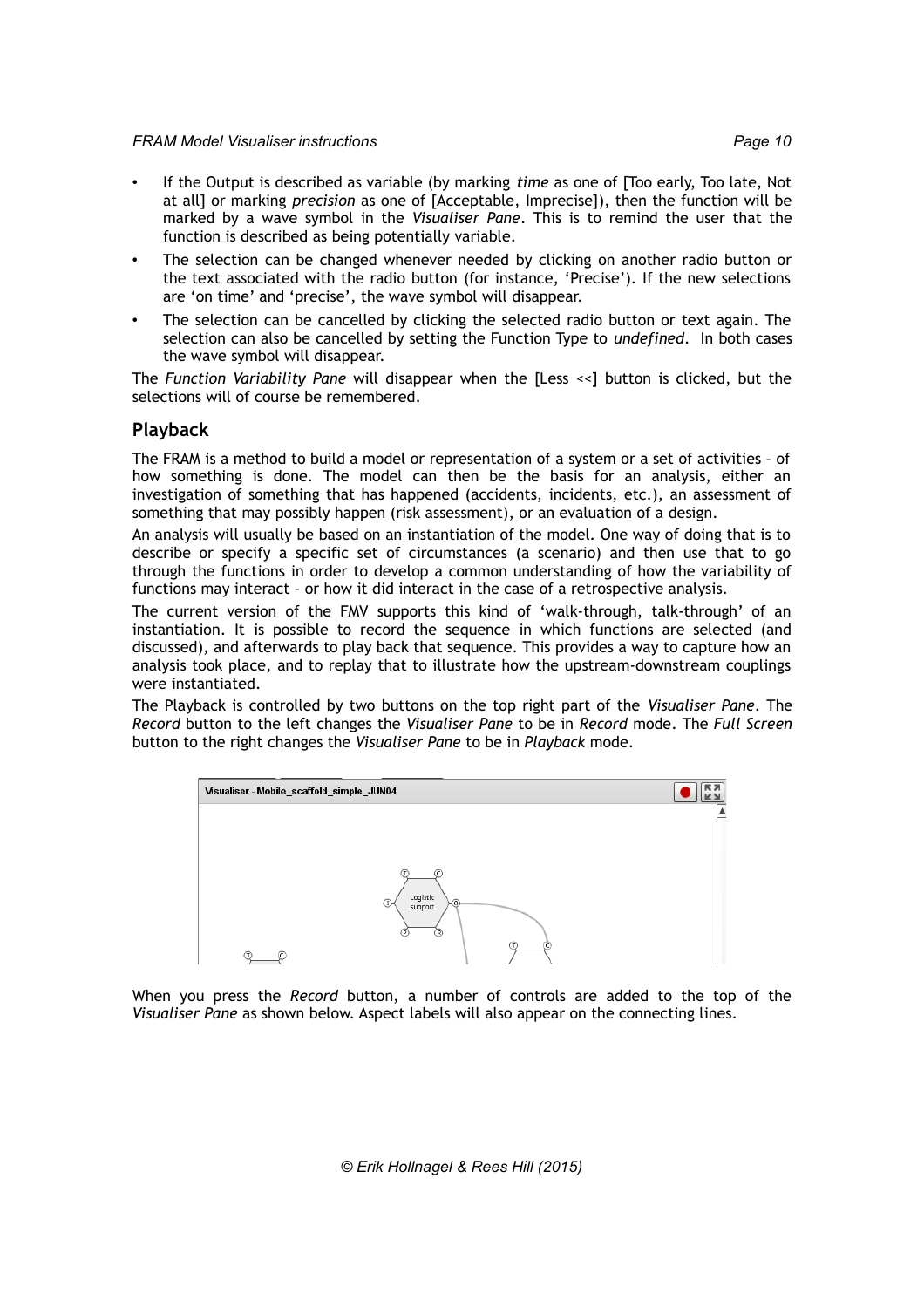- If the Output is described as variable (by marking *time* as one of [Too early, Too late, Not at all] or marking *precision* as one of [Acceptable, Imprecise]), then the function will be marked by a wave symbol in the *Visualiser Pane*. This is to remind the user that the function is described as being potentially variable.
- The selection can be changed whenever needed by clicking on another radio button or the text associated with the radio button (for instance, 'Precise'). If the new selections are 'on time' and 'precise', the wave symbol will disappear.
- The selection can be cancelled by clicking the selected radio button or text again. The selection can also be cancelled by setting the Function Type to *undefined*. In both cases the wave symbol will disappear.

The *Function Variability Pane* will disappear when the [Less <<] button is clicked, but the selections will of course be remembered.

### **Playback**

The FRAM is a method to build a model or representation of a system or a set of activities – of how something is done. The model can then be the basis for an analysis, either an investigation of something that has happened (accidents, incidents, etc.), an assessment of something that may possibly happen (risk assessment), or an evaluation of a design.

An analysis will usually be based on an instantiation of the model. One way of doing that is to describe or specify a specific set of circumstances (a scenario) and then use that to go through the functions in order to develop a common understanding of how the variability of functions may interact – or how it did interact in the case of a retrospective analysis.

The current version of the FMV supports this kind of 'walk-through, talk-through' of an instantiation. It is possible to record the sequence in which functions are selected (and discussed), and afterwards to play back that sequence. This provides a way to capture how an analysis took place, and to replay that to illustrate how the upstream-downstream couplings were instantiated.

The Playback is controlled by two buttons on the top right part of the *Visualiser Pane*. The *Record* button to the left changes the *Visualiser Pane* to be in *Record* mode. The *Full Screen* button to the right changes the *Visualiser Pane* to be in *Playback* mode.



When you press the *Record* button, a number of controls are added to the top of the *Visualiser Pane* as shown below. Aspect labels will also appear on the connecting lines.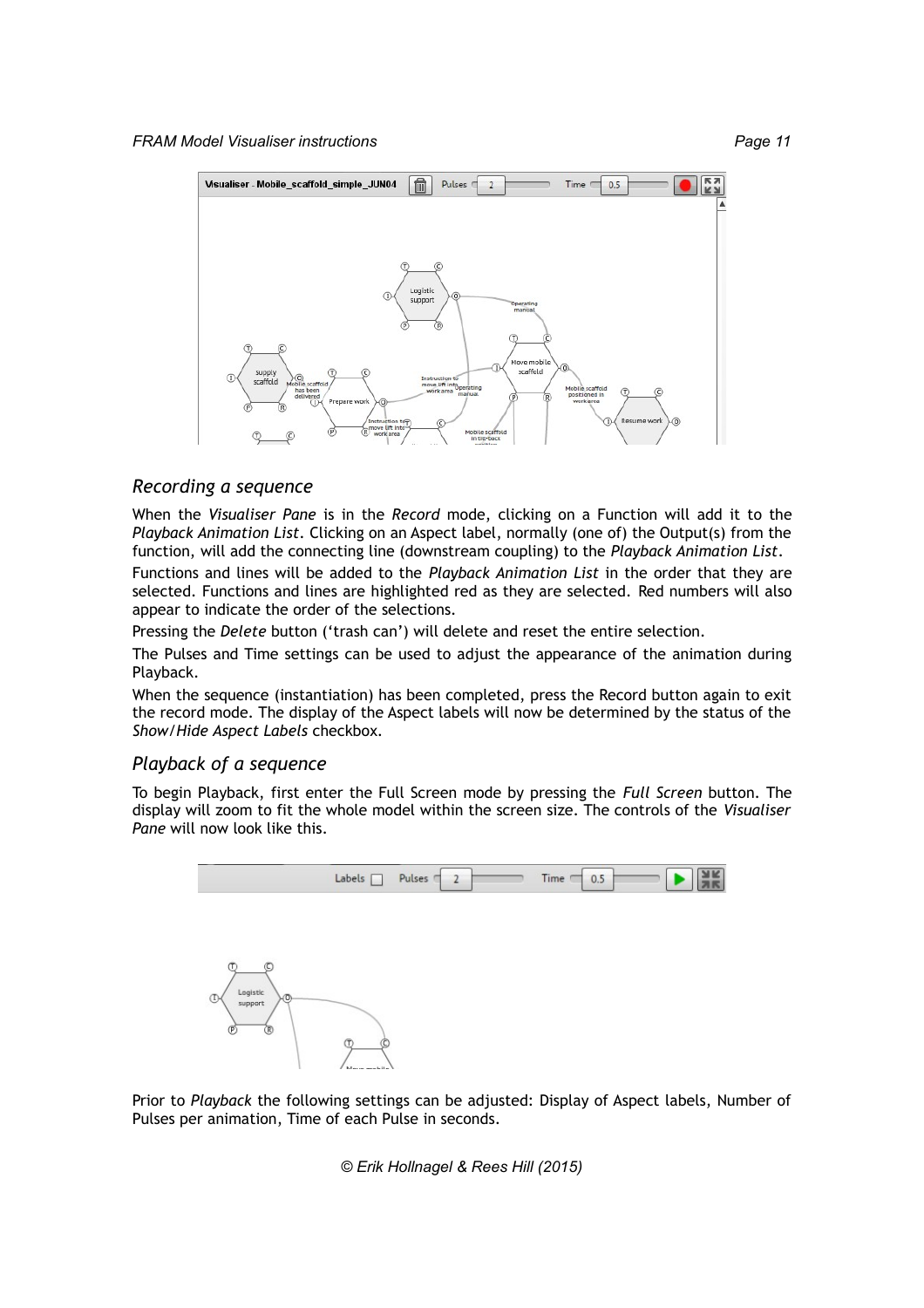

### *Recording a sequence*

When the *Visualiser Pane* is in the *Record* mode, clicking on a Function will add it to the *Playback Animation List*. Clicking on an Aspect label, normally (one of) the Output(s) from the function, will add the connecting line (downstream coupling) to the *Playback Animation List*.

Functions and lines will be added to the *Playback Animation List* in the order that they are selected. Functions and lines are highlighted red as they are selected. Red numbers will also appear to indicate the order of the selections.

Pressing the *Delete* button ('trash can') will delete and reset the entire selection.

The Pulses and Time settings can be used to adjust the appearance of the animation during Playback.

When the sequence (instantiation) has been completed, press the Record button again to exit the record mode. The display of the Aspect labels will now be determined by the status of the *Show/Hide Aspect Labels* checkbox.

### *Playback of a sequence*

To begin Playback, first enter the Full Screen mode by pressing the *Full Screen* button. The display will zoom to fit the whole model within the screen size. The controls of the *Visualiser Pane* will now look like this.



Prior to *Playback* the following settings can be adjusted: Display of Aspect labels, Number of Pulses per animation, Time of each Pulse in seconds.